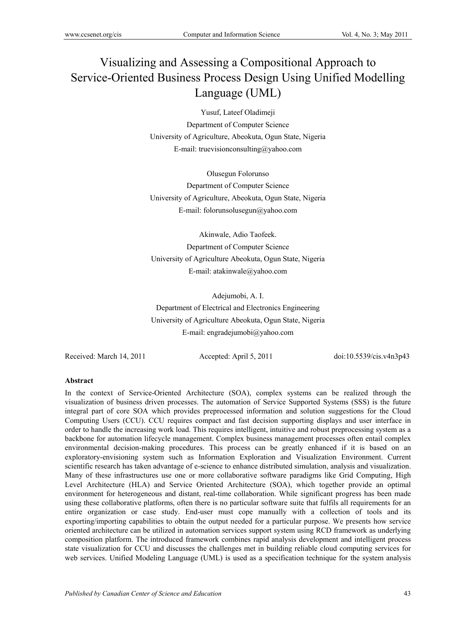# Visualizing and Assessing a Compositional Approach to Service-Oriented Business Process Design Using Unified Modelling Language (UML)

Yusuf, Lateef Oladimeji

Department of Computer Science University of Agriculture, Abeokuta, Ogun State, Nigeria E-mail: truevisionconsulting@yahoo.com

Olusegun Folorunso Department of Computer Science University of Agriculture, Abeokuta, Ogun State, Nigeria E-mail: folorunsolusegun@yahoo.com

Akinwale, Adio Taofeek. Department of Computer Science University of Agriculture Abeokuta, Ogun State, Nigeria E-mail: atakinwale@yahoo.com

Adejumobi, A. I. Department of Electrical and Electronics Engineering University of Agriculture Abeokuta, Ogun State, Nigeria E-mail: engradejumobi@yahoo.com

Received: March 14, 2011 Accepted: April 5, 2011 doi:10.5539/cis.v4n3p43

# **Abstract**

In the context of Service-Oriented Architecture (SOA), complex systems can be realized through the visualization of business driven processes. The automation of Service Supported Systems (SSS) is the future integral part of core SOA which provides preprocessed information and solution suggestions for the Cloud Computing Users (CCU). CCU requires compact and fast decision supporting displays and user interface in order to handle the increasing work load. This requires intelligent, intuitive and robust preprocessing system as a backbone for automation lifecycle management. Complex business management processes often entail complex environmental decision-making procedures. This process can be greatly enhanced if it is based on an exploratory-envisioning system such as Information Exploration and Visualization Environment. Current scientific research has taken advantage of e-science to enhance distributed simulation, analysis and visualization. Many of these infrastructures use one or more collaborative software paradigms like Grid Computing, High Level Architecture (HLA) and Service Oriented Architecture (SOA), which together provide an optimal environment for heterogeneous and distant, real-time collaboration. While significant progress has been made using these collaborative platforms, often there is no particular software suite that fulfils all requirements for an entire organization or case study. End-user must cope manually with a collection of tools and its exporting/importing capabilities to obtain the output needed for a particular purpose. We presents how service oriented architecture can be utilized in automation services support system using RCD framework as underlying composition platform. The introduced framework combines rapid analysis development and intelligent process state visualization for CCU and discusses the challenges met in building reliable cloud computing services for web services. Unified Modeling Language (UML) is used as a specification technique for the system analysis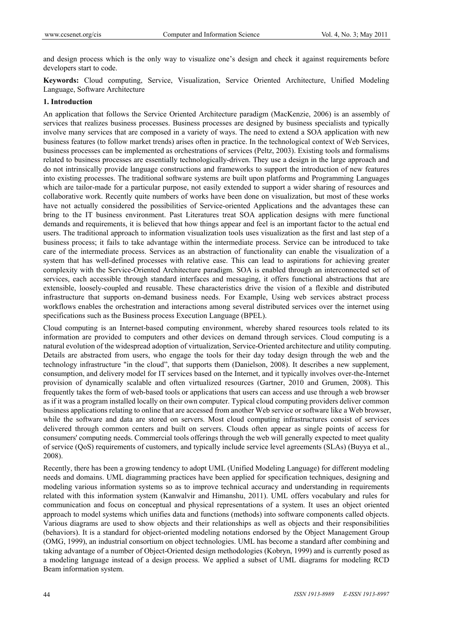and design process which is the only way to visualize one's design and check it against requirements before developers start to code.

**Keywords:** Cloud computing, Service, Visualization, Service Oriented Architecture, Unified Modeling Language, Software Architecture

## **1. Introduction**

An application that follows the Service Oriented Architecture paradigm (MacKenzie, 2006) is an assembly of services that realizes business processes. Business processes are designed by business specialists and typically involve many services that are composed in a variety of ways. The need to extend a SOA application with new business features (to follow market trends) arises often in practice. In the technological context of Web Services, business processes can be implemented as orchestrations of services (Peltz, 2003). Existing tools and formalisms related to business processes are essentially technologically-driven. They use a design in the large approach and do not intrinsically provide language constructions and frameworks to support the introduction of new features into existing processes. The traditional software systems are built upon platforms and Programming Languages which are tailor-made for a particular purpose, not easily extended to support a wider sharing of resources and collaborative work. Recently quite numbers of works have been done on visualization, but most of these works have not actually considered the possibilities of Service-oriented Applications and the advantages these can bring to the IT business environment. Past Literatures treat SOA application designs with mere functional demands and requirements, it is believed that how things appear and feel is an important factor to the actual end users. The traditional approach to information visualization tools uses visualization as the first and last step of a business process; it fails to take advantage within the intermediate process. Service can be introduced to take care of the intermediate process. Services as an abstraction of functionality can enable the visualization of a system that has well-defined processes with relative ease. This can lead to aspirations for achieving greater complexity with the Service-Oriented Architecture paradigm. SOA is enabled through an interconnected set of services, each accessible through standard interfaces and messaging, it offers functional abstractions that are extensible, loosely-coupled and reusable. These characteristics drive the vision of a flexible and distributed infrastructure that supports on-demand business needs. For Example, Using web services abstract process workflows enables the orchestration and interactions among several distributed services over the internet using specifications such as the Business process Execution Language (BPEL).

Cloud computing is an Internet-based computing environment, whereby shared resources tools related to its information are provided to computers and other devices on demand through services. Cloud computing is a natural evolution of the widespread adoption of virtualization, Service-Oriented architecture and utility computing. Details are abstracted from users, who engage the tools for their day today design through the web and the technology infrastructure "in the cloud", that supports them (Danielson, 2008). It describes a new supplement, consumption, and delivery model for IT services based on the Internet, and it typically involves over-the-Internet provision of dynamically scalable and often virtualized resources (Gartner, 2010 and Grumen, 2008). This frequently takes the form of web-based tools or applications that users can access and use through a web browser as if it was a program installed locally on their own computer. Typical cloud computing providers deliver common business applications relating to online that are accessed from another Web service or software like a Web browser, while the software and data are stored on servers. Most cloud computing infrastructures consist of services delivered through common centers and built on servers. Clouds often appear as single points of access for consumers' computing needs. Commercial tools offerings through the web will generally expected to meet quality of service (QoS) requirements of customers, and typically include service level agreements (SLAs) (Buyya et al., 2008).

Recently, there has been a growing tendency to adopt UML (Unified Modeling Language) for different modeling needs and domains. UML diagramming practices have been applied for specification techniques, designing and modeling various information systems so as to improve technical accuracy and understanding in requirements related with this information system (Kanwalvir and Himanshu, 2011). UML offers vocabulary and rules for communication and focus on conceptual and physical representations of a system. It uses an object oriented approach to model systems which unifies data and functions (methods) into software components called objects. Various diagrams are used to show objects and their relationships as well as objects and their responsibilities (behaviors). It is a standard for object-oriented modeling notations endorsed by the Object Management Group (OMG, 1999), an industrial consortium on object technologies. UML has become a standard after combining and taking advantage of a number of Object-Oriented design methodologies (Kobryn, 1999) and is currently posed as a modeling language instead of a design process. We applied a subset of UML diagrams for modeling RCD Beam information system.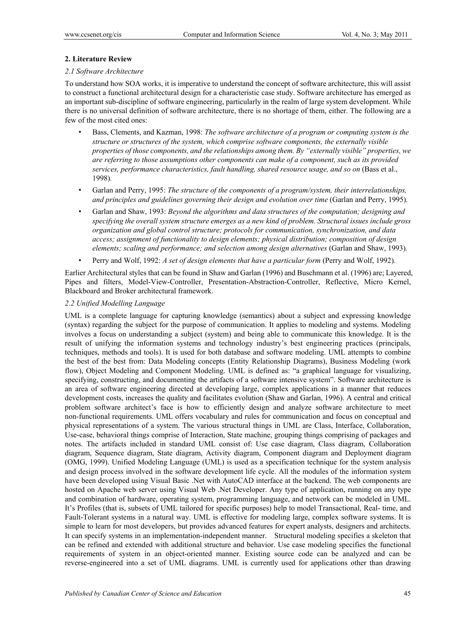## **2. Literature Review**

# *2.1 Software Architecture*

To understand how SOA works, it is imperative to understand the concept of software architecture, this will assist to construct a functional architectural design for a characteristic case study. Software architecture has emerged as an important sub-discipline of software engineering, particularly in the realm of large system development. While there is no universal definition of software architecture, there is no shortage of them, either. The following are a few of the most cited ones:

- Bass, Clements, and Kazman, 1998: *The software architecture of a program or computing system is the structure or structures of the system, which comprise software components, the externally visible properties of those components, and the relationships among them. By "externally visible" properties, we are referring to those assumptions other components can make of a component, such as its provided services, performance characteristics, fault handling, shared resource usage, and so on* (Bass et al., 1998)*.*
- Garlan and Perry, 1995: *The structure of the components of a program/system, their interrelationships, and principles and guidelines governing their design and evolution over time* (Garlan and Perry, 1995)*.*
- Garlan and Shaw, 1993: *Beyond the algorithms and data structures of the computation; designing and specifying the overall system structure emerges as a new kind of problem. Structural issues include gross organization and global control structure; protocols for communication, synchronization, and data access; assignment of functionality to design elements; physical distribution; composition of design elements; scaling and performance; and selection among design alternatives* (Garlan and Shaw, 1993)*.*
- Perry and Wolf, 1992: *A set of design elements that have a particular form* (Perry and Wolf, 1992).

Earlier Architectural styles that can be found in Shaw and Garlan (1996) and Buschmann et al. (1996) are; Layered, Pipes and filters, Model-View-Controller, Presentation-Abstraction-Controller, Reflective, Micro Kernel, Blackboard and Broker architectural framework.

# *2.2 Unified Modelling Language*

UML is a complete language for capturing knowledge (semantics) about a subject and expressing knowledge (syntax) regarding the subject for the purpose of communication. It applies to modeling and systems. Modeling involves a focus on understanding a subject (system) and being able to communicate this knowledge. It is the result of unifying the information systems and technology industry's best engineering practices (principals, techniques, methods and tools). It is used for both database and software modeling. UML attempts to combine the best of the best from: Data Modeling concepts (Entity Relationship Diagrams), Business Modeling (work flow), Object Modeling and Component Modeling. UML is defined as: "a graphical language for visualizing, specifying, constructing, and documenting the artifacts of a software intensive system". Software architecture is an area of software engineering directed at developing large, complex applications in a manner that reduces development costs, increases the quality and facilitates evolution (Shaw and Garlan, 1996). A central and critical problem software architect's face is how to efficiently design and analyze software architecture to meet non-functional requirements. UML offers vocabulary and rules for communication and focus on conceptual and physical representations of a system. The various structural things in UML are Class, Interface, Collaboration, Use-case, behavioral things comprise of Interaction, State machine, grouping things comprising of packages and notes. The artifacts included in standard UML consist of: Use case diagram, Class diagram, Collaboration diagram, Sequence diagram, State diagram, Activity diagram, Component diagram and Deployment diagram (OMG, 1999). Unified Modeling Language (UML) is used as a specification technique for the system analysis and design process involved in the software development life cycle. All the modules of the information system have been developed using Visual Basic .Net with AutoCAD interface at the backend. The web components are hosted on Apache web server using Visual Web .Net Developer. Any type of application, running on any type and combination of hardware, operating system, programming language, and network can be modeled in UML. It's Profiles (that is, subsets of UML tailored for specific purposes) help to model Transactional, Real- time, and Fault-Tolerant systems in a natural way. UML is effective for modeling large, complex software systems. It is simple to learn for most developers, but provides advanced features for expert analysts, designers and architects. It can specify systems in an implementation-independent manner. Structural modeling specifies a skeleton that can be refined and extended with additional structure and behavior. Use case modeling specifies the functional requirements of system in an object-oriented manner. Existing source code can be analyzed and can be reverse-engineered into a set of UML diagrams. UML is currently used for applications other than drawing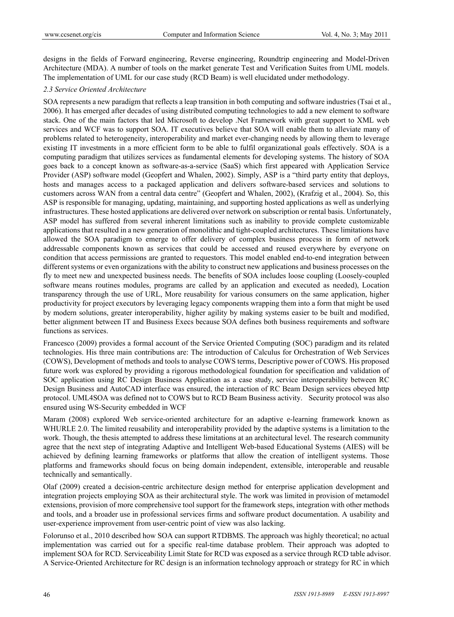designs in the fields of Forward engineering, Reverse engineering, Roundtrip engineering and Model-Driven Architecture (MDA). A number of tools on the market generate Test and Verification Suites from UML models. The implementation of UML for our case study (RCD Beam) is well elucidated under methodology.

# *2.3 Service Oriented Architecture*

SOA represents a new paradigm that reflects a leap transition in both computing and software industries (Tsai et al., 2006). It has emerged after decades of using distributed computing technologies to add a new element to software stack. One of the main factors that led Microsoft to develop .Net Framework with great support to XML web services and WCF was to support SOA. IT executives believe that SOA will enable them to alleviate many of problems related to heterogeneity, interoperability and market ever-changing needs by allowing them to leverage existing IT investments in a more efficient form to be able to fulfil organizational goals effectively. SOA is a computing paradigm that utilizes services as fundamental elements for developing systems. The history of SOA goes back to a concept known as software-as-a-service (SaaS) which first appeared with Application Service Provider (ASP) software model (Geopfert and Whalen, 2002). Simply, ASP is a "third party entity that deploys, hosts and manages access to a packaged application and delivers software-based services and solutions to customers across WAN from a central data centre" (Geopfert and Whalen, 2002), (Krafzig et al., 2004). So, this ASP is responsible for managing, updating, maintaining, and supporting hosted applications as well as underlying infrastructures. These hosted applications are delivered over network on subscription or rental basis. Unfortunately, ASP model has suffered from several inherent limitations such as inability to provide complete customizable applications that resulted in a new generation of monolithic and tight-coupled architectures. These limitations have allowed the SOA paradigm to emerge to offer delivery of complex business process in form of network addressable components known as services that could be accessed and reused everywhere by everyone on condition that access permissions are granted to requestors. This model enabled end-to-end integration between different systems or even organizations with the ability to construct new applications and business processes on the fly to meet new and unexpected business needs. The benefits of SOA includes loose coupling (Loosely-coupled software means routines modules, programs are called by an application and executed as needed), Location transparency through the use of URL, More reusability for various consumers on the same application, higher productivity for project executors by leveraging legacy components wrapping them into a form that might be used by modern solutions, greater interoperability, higher agility by making systems easier to be built and modified, better alignment between IT and Business Execs because SOA defines both business requirements and software functions as services.

Francesco (2009) provides a formal account of the Service Oriented Computing (SOC) paradigm and its related technologies. His three main contributions are: The introduction of Calculus for Orchestration of Web Services (COWS), Development of methods and tools to analyse COWS terms, Descriptive power of COWS. His proposed future work was explored by providing a rigorous methodological foundation for specification and validation of SOC application using RC Design Business Application as a case study, service interoperability between RC Design Business and AutoCAD interface was ensured, the interaction of RC Beam Design services obeyed http protocol. UML4SOA was defined not to COWS but to RCD Beam Business activity. Security protocol was also ensured using WS-Security embedded in WCF

Maram (2008) explored Web service-oriented architecture for an adaptive e-learning framework known as WHURLE 2.0. The limited reusability and interoperability provided by the adaptive systems is a limitation to the work. Though, the thesis attempted to address these limitations at an architectural level. The research community agree that the next step of integrating Adaptive and Intelligent Web-based Educational Systems (AIES) will be achieved by defining learning frameworks or platforms that allow the creation of intelligent systems. Those platforms and frameworks should focus on being domain independent, extensible, interoperable and reusable technically and semantically.

Olaf (2009) created a decision-centric architecture design method for enterprise application development and integration projects employing SOA as their architectural style. The work was limited in provision of metamodel extensions, provision of more comprehensive tool support for the framework steps, integration with other methods and tools, and a broader use in professional services firms and software product documentation. A usability and user-experience improvement from user-centric point of view was also lacking.

Folorunso et al., 2010 described how SOA can support RTDBMS. The approach was highly theoretical; no actual implementation was carried out for a specific real-time database problem. Their approach was adopted to implement SOA for RCD. Serviceability Limit State for RCD was exposed as a service through RCD table advisor. A Service-Oriented Architecture for RC design is an information technology approach or strategy for RC in which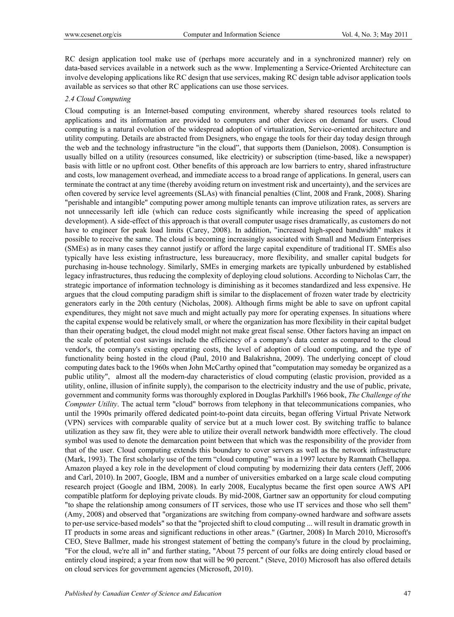RC design application tool make use of (perhaps more accurately and in a synchronized manner) rely on data-based services available in a network such as the www. Implementing a Service-Oriented Architecture can involve developing applications like RC design that use services, making RC design table advisor application tools available as services so that other RC applications can use those services.

#### *2.4 Cloud Computing*

Cloud computing is an Internet-based computing environment, whereby shared resources tools related to applications and its information are provided to computers and other devices on demand for users. Cloud computing is a natural evolution of the widespread adoption of virtualization, Service-oriented architecture and utility computing. Details are abstracted from Designers, who engage the tools for their day today design through the web and the technology infrastructure "in the cloud", that supports them (Danielson, 2008). Consumption is usually billed on a utility (resources consumed, like electricity) or subscription (time-based, like a newspaper) basis with little or no upfront cost. Other benefits of this approach are low barriers to entry, shared infrastructure and costs, low management overhead, and immediate access to a broad range of applications. In general, users can terminate the contract at any time (thereby avoiding return on investment risk and uncertainty), and the services are often covered by service level agreements (SLAs) with financial penalties (Clint, 2008 and Frank, 2008). Sharing "perishable and intangible" computing power among multiple tenants can improve utilization rates, as servers are not unnecessarily left idle (which can reduce costs significantly while increasing the speed of application development). A side-effect of this approach is that overall computer usage rises dramatically, as customers do not have to engineer for peak load limits (Carey, 2008). In addition, "increased high-speed bandwidth" makes it possible to receive the same. The cloud is becoming increasingly associated with Small and Medium Enterprises (SMEs) as in many cases they cannot justify or afford the large capital expenditure of traditional IT. SMEs also typically have less existing infrastructure, less bureaucracy, more flexibility, and smaller capital budgets for purchasing in-house technology. Similarly, SMEs in emerging markets are typically unburdened by established legacy infrastructures, thus reducing the complexity of deploying cloud solutions. According to Nicholas Carr, the strategic importance of information technology is diminishing as it becomes standardized and less expensive. He argues that the cloud computing paradigm shift is similar to the displacement of frozen water trade by electricity generators early in the 20th century (Nicholas, 2008). Although firms might be able to save on upfront capital expenditures, they might not save much and might actually pay more for operating expenses. In situations where the capital expense would be relatively small, or where the organization has more flexibility in their capital budget than their operating budget, the cloud model might not make great fiscal sense. Other factors having an impact on the scale of potential cost savings include the efficiency of a company's data center as compared to the cloud vendor's, the company's existing operating costs, the level of adoption of cloud computing, and the type of functionality being hosted in the cloud (Paul, 2010 and Balakrishna, 2009). The underlying concept of cloud computing dates back to the 1960s when John McCarthy opined that "computation may someday be organized as a public utility", almost all the modern-day characteristics of cloud computing (elastic provision, provided as a utility, online, illusion of infinite supply), the comparison to the electricity industry and the use of public, private, government and community forms was thoroughly explored in Douglas Parkhill's 1966 book, *The Challenge of the Computer Utility*. The actual term "cloud" borrows from telephony in that telecommunications companies, who until the 1990s primarily offered dedicated point-to-point data circuits, began offering Virtual Private Network (VPN) services with comparable quality of service but at a much lower cost. By switching traffic to balance utilization as they saw fit, they were able to utilize their overall network bandwidth more effectively. The cloud symbol was used to denote the demarcation point between that which was the responsibility of the provider from that of the user. Cloud computing extends this boundary to cover servers as well as the network infrastructure (Mark, 1993). The first scholarly use of the term "cloud computing" was in a 1997 lecture by Ramnath Chellappa. Amazon played a key role in the development of cloud computing by modernizing their data centers (Jeff, 2006 and Carl, 2010).In 2007, Google, IBM and a number of universities embarked on a large scale cloud computing research project (Google and IBM, 2008). In early 2008, Eucalyptus became the first open source AWS API compatible platform for deploying private clouds. By mid-2008, Gartner saw an opportunity for cloud computing "to shape the relationship among consumers of IT services, those who use IT services and those who sell them" (Amy, 2008) and observed that "organizations are switching from company-owned hardware and software assets to per-use service-based models" so that the "projected shift to cloud computing ... will result in dramatic growth in IT products in some areas and significant reductions in other areas." (Gartner, 2008) In March 2010, Microsoft's CEO, Steve Ballmer, made his strongest statement of betting the company's future in the cloud by proclaiming, "For the cloud, we're all in" and further stating, "About 75 percent of our folks are doing entirely cloud based or entirely cloud inspired; a year from now that will be 90 percent." (Steve, 2010) Microsoft has also offered details on cloud services for government agencies (Microsoft, 2010).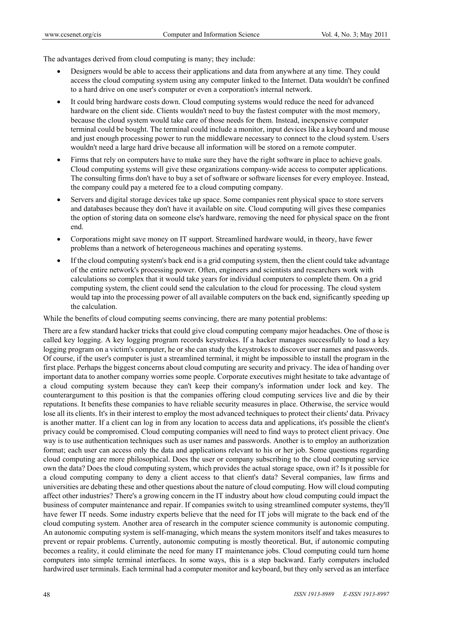The advantages derived from cloud computing is many; they include:

- Designers would be able to access their applications and data from anywhere at any time. They could access the cloud computing system using any computer linked to the Internet. Data wouldn't be confined to a hard drive on one user's computer or even a corporation's internal network.
- It could bring hardware costs down. Cloud computing systems would reduce the need for advanced hardware on the client side. Clients wouldn't need to buy the fastest computer with the most memory, because the cloud system would take care of those needs for them. Instead, inexpensive computer terminal could be bought. The terminal could include a monitor, input devices like a keyboard and mouse and just enough processing power to run the middleware necessary to connect to the cloud system. Users wouldn't need a large hard drive because all information will be stored on a remote computer.
- Firms that rely on computers have to make sure they have the right software in place to achieve goals. Cloud computing systems will give these organizations company-wide access to computer applications. The consulting firms don't have to buy a set of software or software licenses for every employee. Instead, the company could pay a metered fee to a cloud computing company.
- Servers and digital storage devices take up space. Some companies rent physical space to store servers and databases because they don't have it available on site. Cloud computing will gives these companies the option of storing data on someone else's hardware, removing the need for physical space on the front end.
- Corporations might save money on IT support. Streamlined hardware would, in theory, have fewer problems than a network of heterogeneous machines and operating systems.
- If the cloud computing system's back end is a grid computing system, then the client could take advantage of the entire network's processing power. Often, engineers and scientists and researchers work with calculations so complex that it would take years for individual computers to complete them. On a grid computing system, the client could send the calculation to the cloud for processing. The cloud system would tap into the processing power of all available computers on the back end, significantly speeding up the calculation.

While the benefits of cloud computing seems convincing, there are many potential problems:

There are a few standard hacker tricks that could give cloud computing company major headaches. One of those is called key logging. A key logging program records keystrokes. If a hacker manages successfully to load a key logging program on a victim's computer, he or she can study the keystrokes to discover user names and passwords. Of course, if the user's computer is just a streamlined terminal, it might be impossible to install the program in the first place. Perhaps the biggest concerns about cloud computing are security and privacy. The idea of handing over important data to another company worries some people. Corporate executives might hesitate to take advantage of a cloud computing system because they can't keep their company's information under lock and key. The counterargument to this position is that the companies offering cloud computing services live and die by their reputations. It benefits these companies to have reliable security measures in place. Otherwise, the service would lose all its clients. It's in their interest to employ the most advanced techniques to protect their clients' data. Privacy is another matter. If a client can log in from any location to access data and applications, it's possible the client's privacy could be compromised. Cloud computing companies will need to find ways to protect client privacy. One way is to use authentication techniques such as user names and passwords. Another is to employ an authorization format; each user can access only the data and applications relevant to his or her job. Some questions regarding cloud computing are more philosophical. Does the user or company subscribing to the cloud computing service own the data? Does the cloud computing system, which provides the actual storage space, own it? Is it possible for a cloud computing company to deny a client access to that client's data? Several companies, law firms and universities are debating these and other questions about the nature of cloud computing. How will cloud computing affect other industries? There's a growing concern in the IT industry about how cloud computing could impact the business of computer maintenance and repair. If companies switch to using streamlined computer systems, they'll have fewer IT needs. Some industry experts believe that the need for IT jobs will migrate to the back end of the cloud computing system. Another area of research in the computer science community is autonomic computing. An autonomic computing system is self-managing, which means the system monitors itself and takes measures to prevent or repair problems. Currently, autonomic computing is mostly theoretical. But, if autonomic computing becomes a reality, it could eliminate the need for many IT maintenance jobs. Cloud computing could turn home computers into simple terminal interfaces. In some ways, this is a step backward. Early computers included hardwired user terminals. Each terminal had a computer monitor and keyboard, but they only served as an interface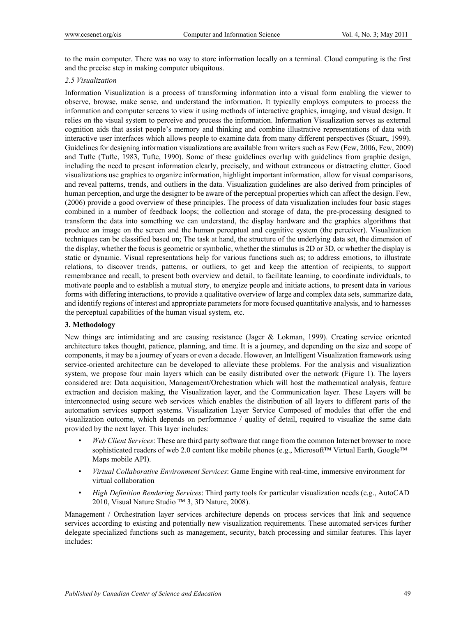to the main computer. There was no way to store information locally on a terminal. Cloud computing is the first and the precise step in making computer ubiquitous.

#### *2.5 Visualization*

Information Visualization is a process of transforming information into a visual form enabling the viewer to observe, browse, make sense, and understand the information. It typically employs computers to process the information and computer screens to view it using methods of interactive graphics, imaging, and visual design. It relies on the visual system to perceive and process the information. Information Visualization serves as external cognition aids that assist people's memory and thinking and combine illustrative representations of data with interactive user interfaces which allows people to examine data from many different perspectives (Stuart, 1999). Guidelines for designing information visualizations are available from writers such as Few (Few, 2006, Few, 2009) and Tufte (Tufte, 1983, Tufte, 1990). Some of these guidelines overlap with guidelines from graphic design, including the need to present information clearly, precisely, and without extraneous or distracting clutter. Good visualizations use graphics to organize information, highlight important information, allow for visual comparisons, and reveal patterns, trends, and outliers in the data. Visualization guidelines are also derived from principles of human perception, and urge the designer to be aware of the perceptual properties which can affect the design. Few, (2006) provide a good overview of these principles. The process of data visualization includes four basic stages combined in a number of feedback loops; the collection and storage of data, the pre-processing designed to transform the data into something we can understand, the display hardware and the graphics algorithms that produce an image on the screen and the human perceptual and cognitive system (the perceiver). Visualization techniques can be classified based on; The task at hand, the structure of the underlying data set, the dimension of the display, whether the focus is geometric or symbolic, whether the stimulus is 2D or 3D, or whether the display is static or dynamic. Visual representations help for various functions such as; to address emotions, to illustrate relations, to discover trends, patterns, or outliers, to get and keep the attention of recipients, to support remembrance and recall, to present both overview and detail, to facilitate learning, to coordinate individuals, to motivate people and to establish a mutual story, to energize people and initiate actions, to present data in various forms with differing interactions, to provide a qualitative overview of large and complex data sets, summarize data, and identify regions of interest and appropriate parameters for more focused quantitative analysis, and to harnesses the perceptual capabilities of the human visual system, etc.

#### **3. Methodology**

New things are intimidating and are causing resistance (Jager & Lokman, 1999). Creating service oriented architecture takes thought, patience, planning, and time. It is a journey, and depending on the size and scope of components, it may be a journey of years or even a decade. However, an Intelligent Visualization framework using service-oriented architecture can be developed to alleviate these problems. For the analysis and visualization system, we propose four main layers which can be easily distributed over the network (Figure 1). The layers considered are: Data acquisition, Management/Orchestration which will host the mathematical analysis, feature extraction and decision making, the Visualization layer, and the Communication layer. These Layers will be interconnected using secure web services which enables the distribution of all layers to different parts of the automation services support systems. Visualization Layer Service Composed of modules that offer the end visualization outcome, which depends on performance / quality of detail, required to visualize the same data provided by the next layer. This layer includes:

- *Web Client Services*: These are third party software that range from the common Internet browser to more sophisticated readers of web 2.0 content like mobile phones (e.g., Microsoft™ Virtual Earth, Google™ Maps mobile API).
- *Virtual Collaborative Environment Services*: Game Engine with real-time, immersive environment for virtual collaboration
- *High Definition Rendering Services*: Third party tools for particular visualization needs (e.g., AutoCAD 2010, Visual Nature Studio ™ 3, 3D Nature, 2008).

Management / Orchestration layer services architecture depends on process services that link and sequence services according to existing and potentially new visualization requirements. These automated services further delegate specialized functions such as management, security, batch processing and similar features. This layer includes: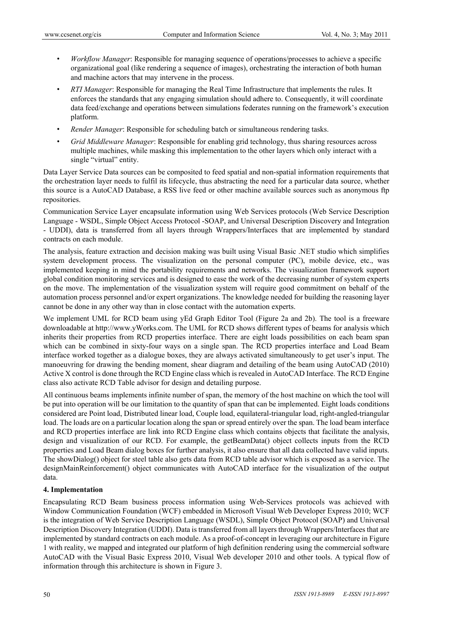- *Workflow Manager*: Responsible for managing sequence of operations/processes to achieve a specific organizational goal (like rendering a sequence of images), orchestrating the interaction of both human and machine actors that may intervene in the process.
- *RTI Manager*: Responsible for managing the Real Time Infrastructure that implements the rules. It enforces the standards that any engaging simulation should adhere to. Consequently, it will coordinate data feed/exchange and operations between simulations federates running on the framework's execution platform.
- *Render Manager*: Responsible for scheduling batch or simultaneous rendering tasks.
- *Grid Middleware Manager*: Responsible for enabling grid technology, thus sharing resources across multiple machines, while masking this implementation to the other layers which only interact with a single "virtual" entity.

Data Layer Service Data sources can be composited to feed spatial and non-spatial information requirements that the orchestration layer needs to fulfil its lifecycle, thus abstracting the need for a particular data source, whether this source is a AutoCAD Database, a RSS live feed or other machine available sources such as anonymous ftp repositories.

Communication Service Layer encapsulate information using Web Services protocols (Web Service Description Language - WSDL, Simple Object Access Protocol -SOAP, and Universal Description Discovery and Integration - UDDI), data is transferred from all layers through Wrappers/Interfaces that are implemented by standard contracts on each module.

The analysis, feature extraction and decision making was built using Visual Basic .NET studio which simplifies system development process. The visualization on the personal computer (PC), mobile device, etc., was implemented keeping in mind the portability requirements and networks. The visualization framework support global condition monitoring services and is designed to ease the work of the decreasing number of system experts on the move. The implementation of the visualization system will require good commitment on behalf of the automation process personnel and/or expert organizations. The knowledge needed for building the reasoning layer cannot be done in any other way than in close contact with the automation experts.

We implement UML for RCD beam using yEd Graph Editor Tool (Figure 2a and 2b). The tool is a freeware downloadable at http://www.yWorks.com. The UML for RCD shows different types of beams for analysis which inherits their properties from RCD properties interface. There are eight loads possibilities on each beam span which can be combined in sixty-four ways on a single span. The RCD properties interface and Load Beam interface worked together as a dialogue boxes, they are always activated simultaneously to get user's input. The manoeuvring for drawing the bending moment, shear diagram and detailing of the beam using AutoCAD (2010) Active X control is done through the RCD Engine class which is revealed in AutoCAD Interface. The RCD Engine class also activate RCD Table advisor for design and detailing purpose.

All continuous beams implements infinite number of span, the memory of the host machine on which the tool will be put into operation will be our limitation to the quantity of span that can be implemented. Eight loads conditions considered are Point load, Distributed linear load, Couple load, equilateral-triangular load, right-angled-triangular load. The loads are on a particular location along the span or spread entirely over the span. The load beam interface and RCD properties interface are link into RCD Engine class which contains objects that facilitate the analysis, design and visualization of our RCD. For example, the getBeamData() object collects inputs from the RCD properties and Load Beam dialog boxes for further analysis, it also ensure that all data collected have valid inputs. The showDialog() object for steel table also gets data from RCD table advisor which is exposed as a service. The designMainReinforcement() object communicates with AutoCAD interface for the visualization of the output data.

# **4. Implementation**

Encapsulating RCD Beam business process information using Web-Services protocols was achieved with Window Communication Foundation (WCF) embedded in Microsoft Visual Web Developer Express 2010; WCF is the integration of Web Service Description Language (WSDL), Simple Object Protocol (SOAP) and Universal Description Discovery Integration (UDDI). Data is transferred from all layers through Wrappers/Interfaces that are implemented by standard contracts on each module. As a proof-of-concept in leveraging our architecture in Figure 1 with reality, we mapped and integrated our platform of high definition rendering using the commercial software AutoCAD with the Visual Basic Express 2010, Visual Web developer 2010 and other tools. A typical flow of information through this architecture is shown in Figure 3.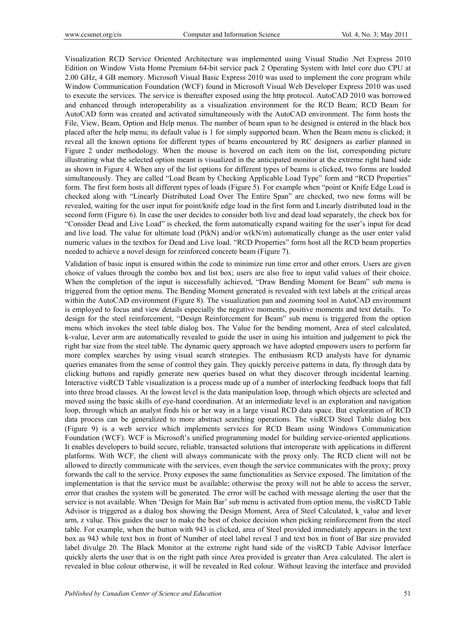Visualization RCD Service Oriented Architecture was implemented using Visual Studio .Net Express 2010 Edition on Window Vista Home Premium 64-bit service pack 2 Operating System with Intel core duo CPU at 2.00 GHz, 4 GB memory. Microsoft Visual Basic Express 2010 was used to implement the core program while Window Communication Foundation (WCF) found in Microsoft Visual Web Developer Express 2010 was used to execute the services. The service is thereafter exposed using the http protocol. AutoCAD 2010 was borrowed and enhanced through interoperability as a visualization environment for the RCD Beam; RCD Beam for AutoCAD form was created and activated simultaneously with the AutoCAD environment. The form hosts the File, View, Beam, Option and Help menus. The number of beam span to be designed is entered in the black box placed after the help menu; its default value is 1 for simply supported beam. When the Beam menu is clicked; it reveal all the known options for different types of beams encountered by RC designers as earlier planned in Figure 2 under methodology. When the mouse is hovered on each item on the list, corresponding picture illustrating what the selected option meant is visualized in the anticipated monitor at the extreme right hand side as shown in Figure 4. When any of the list options for different types of beams is clicked, two forms are loaded simultaneously. They are called "Load Beam by Checking Applicable Load Type" form and "RCD Properties" form. The first form hosts all different types of loads (Figure 5). For example when "point or Knife Edge Load is checked along with "Linearly Distributed Load Over The Entire Span" are checked, two new forms will be revealed, waiting for the user input for point/knife edge load in the first form and Linearly distributed load in the second form (Figure 6). In case the user decides to consider both live and dead load separately, the check box for "Consider Dead and Live Load" is checked, the form automatically expand waiting for the user's input for dead and live load. The value for ultimate load ( $P(kN)$  and/or w( $kN/m$ ) automatically change as the user enter valid numeric values in the textbox for Dead and Live load. "RCD Properties" form host all the RCD beam properties needed to achieve a novel design for reinforced concrete beam (Figure 7).

Validation of basic input is ensured within the code to minimize run time error and other errors. Users are given choice of values through the combo box and list box; users are also free to input valid values of their choice. When the completion of the input is successfully achieved, "Draw Bending Moment for Beam" sub menu is triggered from the option menu. The Bending Moment generated is revealed with text labels at the critical areas within the AutoCAD environment (Figure 8). The visualization pan and zooming tool in AutoCAD environment is employed to focus and view details especially the negative moments, positive moments and text details. To design for the steel reinforcement, "Design Reinforcement for Beam" sub menu is triggered from the option menu which invokes the steel table dialog box. The Value for the bending moment, Area of steel calculated, k-value, Lever arm are automatically revealed to guide the user in using his intuition and judgement to pick the right bar size from the steel table. The dynamic query approach we have adopted empowers users to perform far more complex searches by using visual search strategies. The enthusiasm RCD analysts have for dynamic queries emanates from the sense of control they gain. They quickly perceive patterns in data, fly through data by clicking buttons and rapidly generate new queries based on what they discover through incidental learning. Interactive visRCD Table visualization is a process made up of a number of interlocking feedback loops that fall into three broad classes. At the lowest level is the data manipulation loop, through which objects are selected and moved using the basic skills of eye-hand coordination. At an intermediate level is an exploration and navigation loop, through which an analyst finds his or her way in a large visual RCD data space. But exploration of RCD data process can be generalized to more abstract searching operations. The visRCD Steel Table dialog box (Figure 9) is a web service which implements services for RCD Beam using Windows Communication Foundation (WCF). WCF is Microsoft's unified programming model for building service-oriented applications. It enables developers to build secure, reliable, transacted solutions that interoperate with applications in different platforms. With WCF, the client will always communicate with the proxy only. The RCD client will not be allowed to directly communicate with the services, even though the service communicates with the proxy; proxy forwards the call to the service. Proxy exposes the same functionalities as Service exposed. The limitation of the implementation is that the service must be available; otherwise the proxy will not be able to access the server, error that crashes the system will be generated. The error will be cached with message alerting the user that the service is not available. When 'Design for Main Bar' sub menu is activated from option menu, the visRCD Table Advisor is triggered as a dialog box showing the Design Moment, Area of Steel Calculated, k\_value and lever arm, z value. This guides the user to make the best of choice decision when picking reinforcement from the steel table. For example, when the button with 943 is clicked, area of Steel provided immediately appears in the text box as 943 while text box in front of Number of steel label reveal 3 and text box in front of Bar size provided label divulge 20. The Black Monitor at the extreme right hand side of the visRCD Table Advisor Interface quickly alerts the user that is on the right path since Area provided is greater than Area calculated. The alert is revealed in blue colour otherwise, it will be revealed in Red colour. Without leaving the interface and provided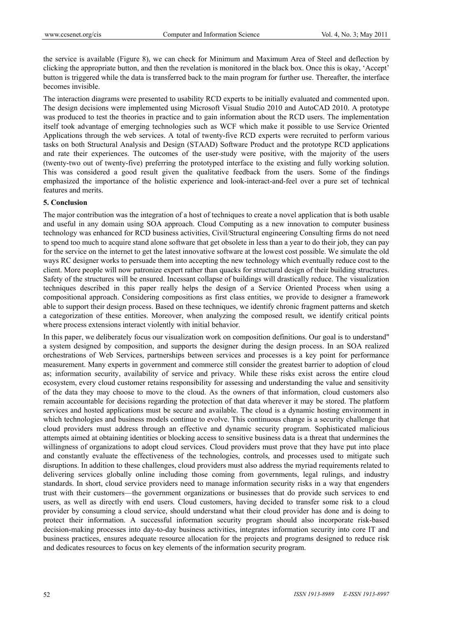the service is available (Figure 8), we can check for Minimum and Maximum Area of Steel and deflection by clicking the appropriate button, and then the revelation is monitored in the black box. Once this is okay, 'Accept' button is triggered while the data is transferred back to the main program for further use. Thereafter, the interface becomes invisible.

The interaction diagrams were presented to usability RCD experts to be initially evaluated and commented upon. The design decisions were implemented using Microsoft Visual Studio 2010 and AutoCAD 2010. A prototype was produced to test the theories in practice and to gain information about the RCD users. The implementation itself took advantage of emerging technologies such as WCF which make it possible to use Service Oriented Applications through the web services. A total of twenty-five RCD experts were recruited to perform various tasks on both Structural Analysis and Design (STAAD) Software Product and the prototype RCD applications and rate their experiences. The outcomes of the user-study were positive, with the majority of the users (twenty-two out of twenty-five) preferring the prototyped interface to the existing and fully working solution. This was considered a good result given the qualitative feedback from the users. Some of the findings emphasized the importance of the holistic experience and look-interact-and-feel over a pure set of technical features and merits.

# **5. Conclusion**

The major contribution was the integration of a host of techniques to create a novel application that is both usable and useful in any domain using SOA approach. Cloud Computing as a new innovation to computer business technology was enhanced for RCD business activities, Civil/Structural engineering Consulting firms do not need to spend too much to acquire stand alone software that get obsolete in less than a year to do their job, they can pay for the service on the internet to get the latest innovative software at the lowest cost possible. We simulate the old ways RC designer works to persuade them into accepting the new technology which eventually reduce cost to the client. More people will now patronize expert rather than quacks for structural design of their building structures. Safety of the structures will be ensured. Incessant collapse of buildings will drastically reduce. The visualization techniques described in this paper really helps the design of a Service Oriented Process when using a compositional approach. Considering compositions as first class entities, we provide to designer a framework able to support their design process. Based on these techniques, we identify chronic fragment patterns and sketch a categorization of these entities. Moreover, when analyzing the composed result, we identify critical points where process extensions interact violently with initial behavior.

In this paper, we deliberately focus our visualization work on composition definitions. Our goal is to understand" a system designed by composition, and supports the designer during the design process. In an SOA realized orchestrations of Web Services, partnerships between services and processes is a key point for performance measurement. Many experts in government and commerce still consider the greatest barrier to adoption of cloud as; information security, availability of service and privacy. While these risks exist across the entire cloud ecosystem, every cloud customer retains responsibility for assessing and understanding the value and sensitivity of the data they may choose to move to the cloud. As the owners of that information, cloud customers also remain accountable for decisions regarding the protection of that data wherever it may be stored. The platform services and hosted applications must be secure and available. The cloud is a dynamic hosting environment in which technologies and business models continue to evolve. This continuous change is a security challenge that cloud providers must address through an effective and dynamic security program. Sophisticated malicious attempts aimed at obtaining identities or blocking access to sensitive business data is a threat that undermines the willingness of organizations to adopt cloud services. Cloud providers must prove that they have put into place and constantly evaluate the effectiveness of the technologies, controls, and processes used to mitigate such disruptions. In addition to these challenges, cloud providers must also address the myriad requirements related to delivering services globally online including those coming from governments, legal rulings, and industry standards. In short, cloud service providers need to manage information security risks in a way that engenders trust with their customers—the government organizations or businesses that do provide such services to end users, as well as directly with end users. Cloud customers, having decided to transfer some risk to a cloud provider by consuming a cloud service, should understand what their cloud provider has done and is doing to protect their information. A successful information security program should also incorporate risk-based decision-making processes into day-to-day business activities, integrates information security into core IT and business practices, ensures adequate resource allocation for the projects and programs designed to reduce risk and dedicates resources to focus on key elements of the information security program.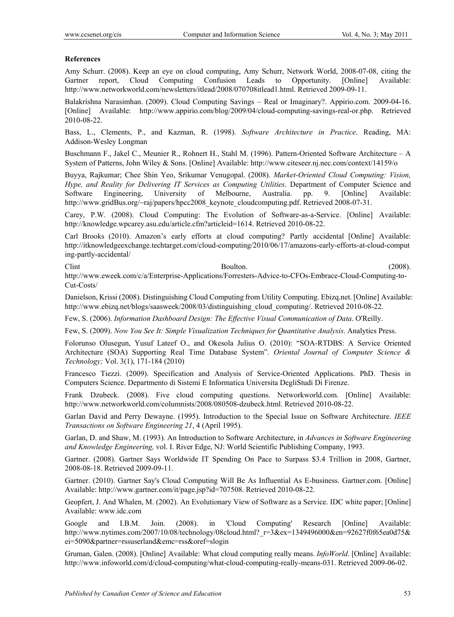# **References**

Amy Schurr. (2008). Keep an eye on cloud computing, Amy Schurr, Network World, 2008-07-08, citing the Gartner report, Cloud Computing Confusion Leads to Opportunity. [Online] Available: http://www.networkworld.com/newsletters/itlead/2008/070708itlead1.html. Retrieved 2009-09-11.

Balakrishna Narasimhan. (2009). Cloud Computing Savings – Real or Imaginary?. Appirio.com. 2009-04-16. [Online] Available: http://www.appirio.com/blog/2009/04/cloud-computing-savings-real-or.php. Retrieved 2010-08-22.

Bass, L., Clements, P., and Kazman, R. (1998). *Software Architecture in Practice*. Reading, MA: Addison-Wesley Longman

Buschmann F., Jakel C., Meunier R., Rohnert H., Stahl M. (1996). Pattern-Oriented Software Architecture – A System of Patterns, John Wiley & Sons. [Online] Available: http://www.citeseer.nj.nec.com/context/14159/o

Buyya, Rajkumar; Chee Shin Yeo, Srikumar Venugopal. (2008). *Market-Oriented Cloud Computing: Vision, Hype, and Reality for Delivering IT Services as Computing Utilities*. Department of Computer Science and Software Engineering, University of Melbourne, Australia. pp. 9. [Online] Available: http://www.gridBus.org/~raj/papers/hpcc2008\_keynote\_cloudcomputing.pdf. Retrieved 2008-07-31.

Carey, P.W. (2008). Cloud Computing: The Evolution of Software-as-a-Service. [Online] Available: http://knowledge.wpcarey.asu.edu/article.cfm?articleid=1614. Retrieved 2010-08-22.

Carl Brooks (2010). Amazon's early efforts at cloud computing? Partly accidental [Online] Available: http://itknowledgeexchange.techtarget.com/cloud-computing/2010/06/17/amazons-early-efforts-at-cloud-comput ing-partly-accidental/

Clint Boulton. (2008). http://www.eweek.com/c/a/Enterprise-Applications/Forresters-Advice-to-CFOs-Embrace-Cloud-Computing-to-Cut-Costs/

Danielson, Krissi (2008). Distinguishing Cloud Computing from Utility Computing. Ebizq.net. [Online] Available: http://www.ebizq.net/blogs/saasweek/2008/03/distinguishing\_cloud\_computing/. Retrieved 2010-08-22.

Few, S. (2006). *Information Dashboard Design: The Effective Visual Communication of Data*. O'Reilly.

Few, S. (2009). *Now You See It: Simple Visualization Techniques for Quantitative Analysis*. Analytics Press.

Folorunso Olusegun, Yusuf Lateef O., and Okesola Julius O. (2010): "SOA-RTDBS: A Service Oriented Architecture (SOA) Supporting Real Time Database System". *Oriental Journal of Computer Science & Technology;* Vol. 3(1), 171-184 (2010)

Francesco Tiezzi. (2009). Specification and Analysis of Service-Oriented Applications. PhD. Thesis in Computers Science. Departmento di Sistemi E Informatica Universita DegliStudi Di Firenze.

Frank Dzubeck. (2008). Five cloud computing questions. Networkworld.com. [Online] Available: http://www.networkworld.com/columnists/2008/080508-dzubeck.html. Retrieved 2010-08-22.

Garlan David and Perry Dewayne. (1995). Introduction to the Special Issue on Software Architecture. *IEEE Transactions on Software Engineering 21*, 4 (April 1995).

Garlan, D. and Shaw, M. (1993). An Introduction to Software Architecture, in *Advances in Software Engineering and Knowledge Engineering,* vol. I. River Edge, NJ: World Scientific Publishing Company, 1993.

Gartner. (2008). Gartner Says Worldwide IT Spending On Pace to Surpass \$3.4 Trillion in 2008, Gartner, 2008-08-18. Retrieved 2009-09-11.

Gartner. (2010). Gartner Say's Cloud Computing Will Be As Influential As E-business. Gartner.com. [Online] Available: http://www.gartner.com/it/page.jsp?id=707508. Retrieved 2010-08-22.

Geopfert, J. And Whalen, M. (2002). An Evolutionary View of Software as a Service. IDC white paper; [Online] Available: www.idc.com

Google and I.B.M. Join. (2008). in 'Cloud Computing' Research [Online] Available: http://www.nytimes.com/2007/10/08/technology/08cloud.html?  $r=3\&ex=1349496000\&en=92627f0f65ea0d75\&$ ei=5090&partner=rssuserland&emc=rss&oref=slogin

Gruman, Galen. (2008). [Online] Available: What cloud computing really means. *InfoWorld*. [Online] Available: http://www.infoworld.com/d/cloud-computing/what-cloud-computing-really-means-031. Retrieved 2009-06-02.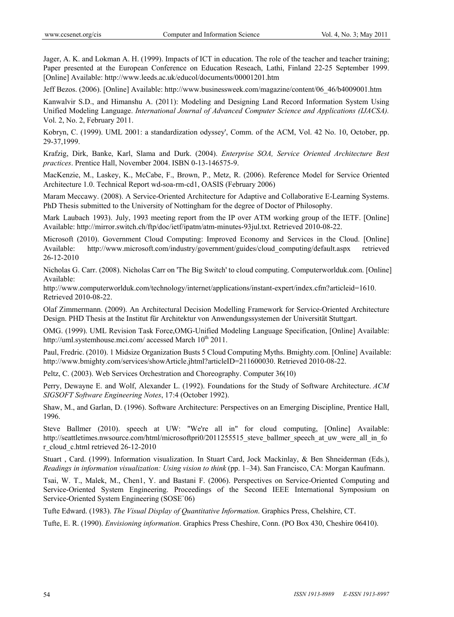Jager, A. K. and Lokman A. H. (1999). Impacts of ICT in education. The role of the teacher and teacher training; Paper presented at the European Conference on Education Reseach, Lathi, Finland 22-25 September 1999. [Online] Available: http://www.leeds.ac.uk/educol/documents/00001201.htm

Jeff Bezos. (2006). [Online] Available: http://www.businessweek.com/magazine/content/06\_46/b4009001.htm

Kanwalvir S.D., and Himanshu A. (2011): Modeling and Designing Land Record Information System Using Unified Modeling Language. *International Journal of Advanced Computer Science and Applications (IJACSA).*  Vol. 2, No. 2, February 2011.

Kobryn, C. (1999). UML 2001: a standardization odyssey', Comm. of the ACM, Vol. 42 No. 10, October, pp. 29-37,1999.

Krafzig, Dirk, Banke, Karl, Slama and Durk. (2004). *Enterprise SOA, Service Oriented Architecture Best practices*. Prentice Hall, November 2004. ISBN 0-13-146575-9.

MacKenzie, M., Laskey, K., McCabe, F., Brown, P., Metz, R. (2006). Reference Model for Service Oriented Architecture 1.0. Technical Report wd-soa-rm-cd1, OASIS (February 2006)

Maram Meccawy. (2008). A Service-Oriented Architecture for Adaptive and Collaborative E-Learning Systems. PhD Thesis submitted to the University of Nottingham for the degree of Doctor of Philosophy.

Mark Laubach 1993). July, 1993 meeting report from the IP over ATM working group of the IETF. [Online] Available: http://mirror.switch.ch/ftp/doc/ietf/ipatm/atm-minutes-93jul.txt. Retrieved 2010-08-22.

Microsoft (2010). Government Cloud Computing: Improved Economy and Services in the Cloud. [Online] Available: http://www.microsoft.com/industry/government/guides/cloud\_computing/default.aspx retrieved 26-12-2010

Nicholas G. Carr. (2008). Nicholas Carr on 'The Big Switch' to cloud computing. Computerworlduk.com. [Online] Available:

http://www.computerworlduk.com/technology/internet/applications/instant-expert/index.cfm?articleid=1610. Retrieved 2010-08-22.

Olaf Zimmermann. (2009). An Architectural Decision Modelling Framework for Service-Oriented Architecture Design. PHD Thesis at the Institut für Architektur von Anwendungssystemen der Universität Stuttgart.

OMG. (1999). UML Revision Task Force,OMG-Unified Modeling Language Specification, [Online] Available: http://uml.systemhouse.mci.com/ accessed March 10<sup>th</sup> 2011.

Paul, Fredric. (2010). 1 Midsize Organization Busts 5 Cloud Computing Myths. Bmighty.com. [Online] Available: http://www.bmighty.com/services/showArticle.jhtml?articleID=211600030. Retrieved 2010-08-22.

Peltz, C. (2003). Web Services Orchestration and Choreography. Computer 36(10)

Perry, Dewayne E. and Wolf, Alexander L. (1992). Foundations for the Study of Software Architecture. *ACM SIGSOFT Software Engineering Notes*, 17:4 (October 1992).

Shaw, M., and Garlan, D. (1996). Software Architecture: Perspectives on an Emerging Discipline, Prentice Hall, 1996.

Steve Ballmer (2010). speech at UW: "We're all in" for cloud computing, [Online] Available: http://seattletimes.nwsource.com/html/microsoftpri0/2011255515\_steve\_ballmer\_speech\_at\_uw\_were\_all\_in\_fo r\_cloud\_c.html retrieved 26-12-2010

Stuart , Card. (1999). Information visualization. In Stuart Card, Jock Mackinlay, & Ben Shneiderman (Eds.), *Readings in information visualization: Using vision to think* (pp. 1–34). San Francisco, CA: Morgan Kaufmann.

Tsai, W. T., Malek, M., Chen1, Y. and Bastani F. (2006). Perspectives on Service-Oriented Computing and Service-Oriented System Engineering. Proceedings of the Second IEEE International Symposium on Service-Oriented System Engineering (SOSE`06)

Tufte Edward. (1983). *The Visual Display of Quantitative Information*. Graphics Press, Chelshire, CT.

Tufte, E. R. (1990). *Envisioning information*. Graphics Press Cheshire, Conn. (PO Box 430, Cheshire 06410).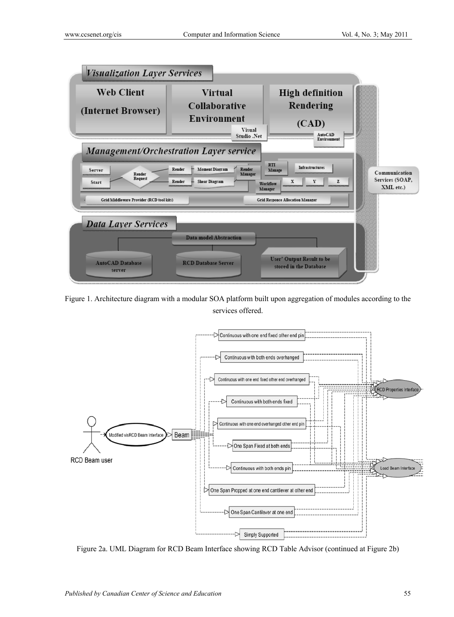

Figure 1. Architecture diagram with a modular SOA platform built upon aggregation of modules according to the services offered.



Figure 2a. UML Diagram for RCD Beam Interface showing RCD Table Advisor (continued at Figure 2b)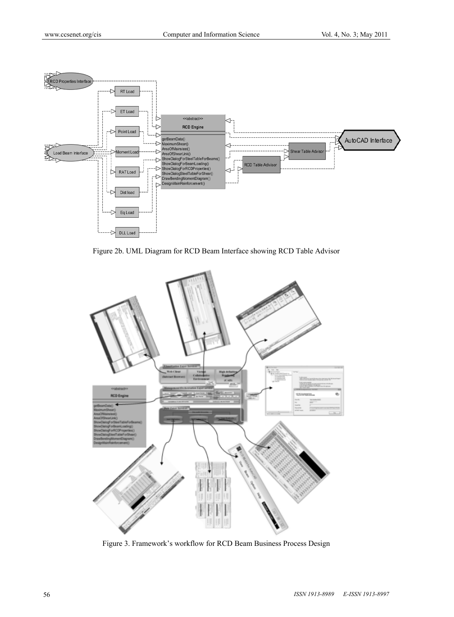

Figure 2b. UML Diagram for RCD Beam Interface showing RCD Table Advisor



Figure 3. Framework's workflow for RCD Beam Business Process Design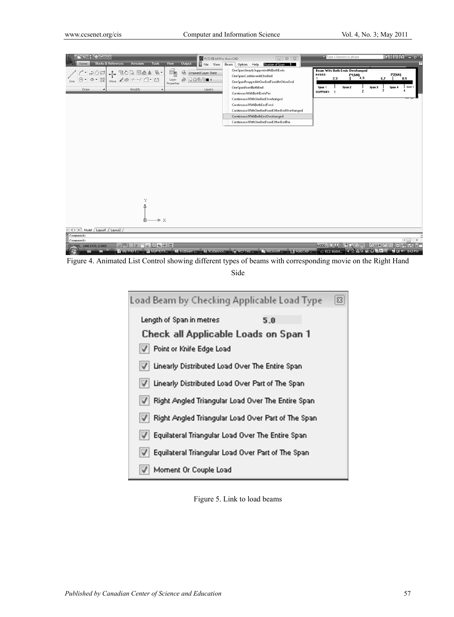| 10806<br>RCD BEAM for AutoCAD<br>图 File<br><b>Blocks &amp; References</b><br>Tools<br>View<br>Annotate<br>Output<br>Home<br>View                                                                                                                                                                                                                                                                                                                                                                                                                              | $\boxed{\circ}$<br>Number of Sparc 1<br>Beam<br>Option Help                                                                                               | Type a keyword or phrase                                                                                                       | 이 의미<br>$-62$                                                |
|---------------------------------------------------------------------------------------------------------------------------------------------------------------------------------------------------------------------------------------------------------------------------------------------------------------------------------------------------------------------------------------------------------------------------------------------------------------------------------------------------------------------------------------------------------------|-----------------------------------------------------------------------------------------------------------------------------------------------------------|--------------------------------------------------------------------------------------------------------------------------------|--------------------------------------------------------------|
| 穐<br>$-50\Box$<br>$\begin{picture}(150,10) \put(0,0){\line(1,0){10}} \put(15,0){\line(1,0){10}} \put(15,0){\line(1,0){10}} \put(15,0){\line(1,0){10}} \put(15,0){\line(1,0){10}} \put(15,0){\line(1,0){10}} \put(15,0){\line(1,0){10}} \put(15,0){\line(1,0){10}} \put(15,0){\line(1,0){10}} \put(15,0){\line(1,0){10}} \put(15,0){\line(1,0){10}} \put(15,0){\line($<br>Unsaved Layer State<br>$\circ \bullet \bullet \mathbb{R}$<br>Move $26 + -1$ $-1$<br>e<br>QO@P<br>Layer<br>Properties<br>Draw<br>Modify<br>Layers<br>$\overline{a}$<br>$\overline{a}$ | OneSpanSimplySupportedAtBothEnds<br>OneSpanCantileverAtOneEnd<br>OneSpanProppedAtOneEndFixedAtOtherEnd<br>OneSpanFixedBothEnd<br>ContinuosWithBothEndsPin | Beam With Both Ends Overhanged<br>NODES:<br>$P1(kN)$ <sub>4,5</sub><br>2,3<br>Span 2<br>Span 1<br>$\overline{2}$<br>SUPPORT: 1 | P2(kN)<br> <br>6,7<br>8.9<br>Span 3<br>Span 5<br>Span 4<br>я |
|                                                                                                                                                                                                                                                                                                                                                                                                                                                                                                                                                               | ContinuousWithOneEndOverhanged<br>ContinuousWithBothEndFixed                                                                                              |                                                                                                                                |                                                              |
|                                                                                                                                                                                                                                                                                                                                                                                                                                                                                                                                                               | ContinuousWithOneEndFixedOtherEndOverhanged                                                                                                               |                                                                                                                                |                                                              |
|                                                                                                                                                                                                                                                                                                                                                                                                                                                                                                                                                               | ContinuousWithBothEndOverhanged<br>ContinuousWithOneEndFixedOtherEndPin                                                                                   |                                                                                                                                |                                                              |
|                                                                                                                                                                                                                                                                                                                                                                                                                                                                                                                                                               |                                                                                                                                                           |                                                                                                                                |                                                              |
|                                                                                                                                                                                                                                                                                                                                                                                                                                                                                                                                                               |                                                                                                                                                           |                                                                                                                                |                                                              |
|                                                                                                                                                                                                                                                                                                                                                                                                                                                                                                                                                               |                                                                                                                                                           |                                                                                                                                |                                                              |
|                                                                                                                                                                                                                                                                                                                                                                                                                                                                                                                                                               |                                                                                                                                                           |                                                                                                                                |                                                              |
|                                                                                                                                                                                                                                                                                                                                                                                                                                                                                                                                                               |                                                                                                                                                           |                                                                                                                                |                                                              |
|                                                                                                                                                                                                                                                                                                                                                                                                                                                                                                                                                               |                                                                                                                                                           |                                                                                                                                |                                                              |
|                                                                                                                                                                                                                                                                                                                                                                                                                                                                                                                                                               |                                                                                                                                                           |                                                                                                                                |                                                              |
|                                                                                                                                                                                                                                                                                                                                                                                                                                                                                                                                                               |                                                                                                                                                           |                                                                                                                                |                                                              |
| Y                                                                                                                                                                                                                                                                                                                                                                                                                                                                                                                                                             |                                                                                                                                                           |                                                                                                                                |                                                              |
|                                                                                                                                                                                                                                                                                                                                                                                                                                                                                                                                                               |                                                                                                                                                           |                                                                                                                                |                                                              |
|                                                                                                                                                                                                                                                                                                                                                                                                                                                                                                                                                               |                                                                                                                                                           |                                                                                                                                |                                                              |
| $\triangleright$ X<br>毌                                                                                                                                                                                                                                                                                                                                                                                                                                                                                                                                       |                                                                                                                                                           |                                                                                                                                |                                                              |
| II I   I   Model / Layout1 / Layout2 /                                                                                                                                                                                                                                                                                                                                                                                                                                                                                                                        |                                                                                                                                                           |                                                                                                                                |                                                              |
| Command:                                                                                                                                                                                                                                                                                                                                                                                                                                                                                                                                                      |                                                                                                                                                           |                                                                                                                                | $\leftarrow$                                                 |
| Command:<br>$3722 + 9$<br>s ml<br>774 9989, 2448 6169, 0.0000                                                                                                                                                                                                                                                                                                                                                                                                                                                                                                 |                                                                                                                                                           | MODEL <b>DIE</b><br>$ C  \cup  C $                                                                                             | <b>6 - 7 - 5</b><br>$A11 - A$                                |
| My PHD T   21 My PHDTh   32 RedBeam (   32 RedService   Fr  WCF Test   <br>$n \rightarrow$                                                                                                                                                                                                                                                                                                                                                                                                                                                                    | Microsoft  AutoCAD                                                                                                                                        | S ROD BEAM < 2 . 7 J O CICIO                                                                                                   | <b>TIG + 8:43 PM</b>                                         |

Figure 4. Animated List Control showing different types of beams with corresponding movie on the Right Hand Side



Figure 5. Link to load beams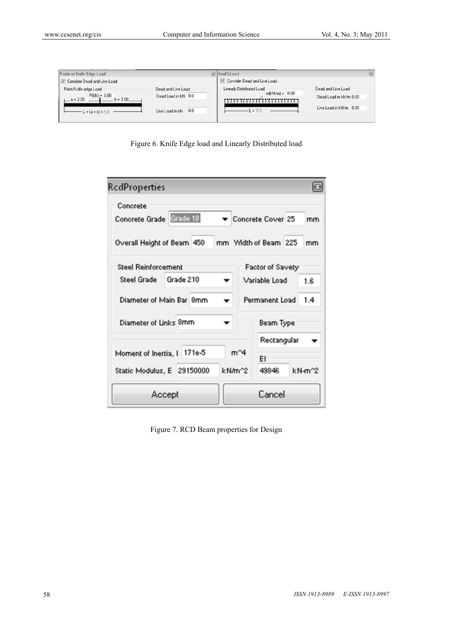| Point or Knife Edge Load                                            |                        | <b>図</b> frmDLLoad                            | $\boxed{53}$           |
|---------------------------------------------------------------------|------------------------|-----------------------------------------------|------------------------|
| Consider Dead and Live Load                                         |                        | Consider Dead and Live Load                   |                        |
| Point/Knife edge Load<br>$P(kN) = 0.00$<br>$a = 2.00$<br>$b = 3.00$ | Dead and Live Load     | Linearly Distributed Load<br>$w[kN/m] = 0.00$ | Dead and Live Load     |
|                                                                     | Dead Load in kN 0.0    |                                               | Dead Load in kN/m 0.00 |
| $-L = [a + b] = 5.0$                                                | 0.0<br>Live Load in kN | $L = 5.0$                                     | Live Load in kN/m 0.00 |
|                                                                     |                        |                                               |                        |

Figure 6. Knife Edge load and Linearly Distributed load

| <b>RcdProperties</b>                            |                            |  |  |  |
|-------------------------------------------------|----------------------------|--|--|--|
| Concrete<br>Concrete Grade Grade 18             | Concrete Cover 25<br>mm    |  |  |  |
| Overall Height of Beam 450                      | mm Width of Beam 225<br>mm |  |  |  |
| <b>Steel Reinforcement</b>                      | <b>Factor of Savety</b>    |  |  |  |
| Grade 210<br>Steel Grade                        | Variable Load<br>1.6       |  |  |  |
| Diameter of Main Bar 8mm                        | Permanent Load<br>1.4      |  |  |  |
| Diameter of Links 8mm                           | Beam Type<br>Rectangular   |  |  |  |
| 171e-5<br>Moment of Inertia, I                  | $m^2$<br>EI                |  |  |  |
| kN/m <sup>2</sup><br>Static Modulus, E 29150000 | kN-m <sup>2</sup><br>49846 |  |  |  |
| Accept                                          | Cancel                     |  |  |  |

Figure 7. RCD Beam properties for Design